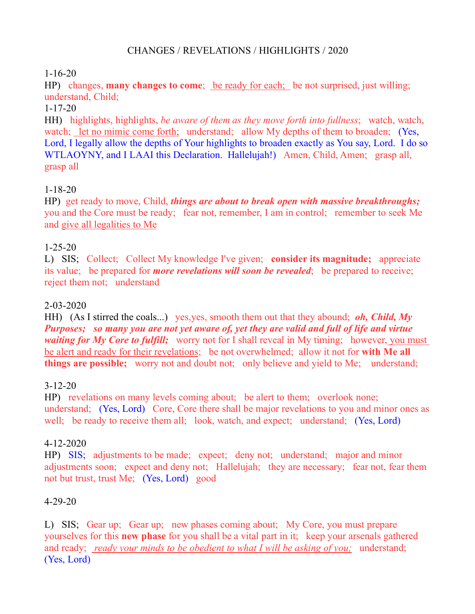## CHANGES / REVELATIONS / HIGHLIGHTS / 2020

# 1-16-20

HP) changes, **many changes to come**; be ready for each; be not surprised, just willing; understand, Child;

## 1-17-20

HH) highlights, highlights, *be aware of them as they move forth into fullness*; watch, watch, watch; let no mimic come forth; understand; allow My depths of them to broaden; (Yes, Lord, I legally allow the depths of Your highlights to broaden exactly as You say, Lord. I do so WTLAOYNY, and I LAAI this Declaration. Hallelujah!) Amen, Child, Amen; grasp all, grasp all

## 1-18-20

HP) get ready to move, Child, *things are about to break open with massive breakthroughs;* you and the Core must be ready; fear not, remember, I am in control; remember to seek Me and give all legalities to Me

## 1-25-20

L) SIS; Collect; Collect My knowledge I've given; **consider its magnitude;** appreciate its value; be prepared for *more revelations will soon be revealed*; be prepared to receive; reject them not; understand

## 2-03-2020

HH) (As I stirred the coals...) yes,yes, smooth them out that they abound; *oh, Child, My Purposes; so many you are not yet aware of, yet they are valid and full of life and virtue waiting for My Core to fulfill*; worry not for I shall reveal in My timing; however, you must be alert and ready for their revelations; be not overwhelmed; allow it not for **with Me all things are possible;** worry not and doubt not; only believe and yield to Me; understand;

#### 3-12-20

HP) revelations on many levels coming about; be alert to them; overlook none; understand; (Yes, Lord) Core, Core there shall be major revelations to you and minor ones as well; be ready to receive them all; look, watch, and expect; understand; (Yes, Lord)

#### 4-12-2020

HP) SIS; adjustments to be made; expect; deny not; understand; major and minor adjustments soon; expect and deny not; Hallelujah; they are necessary; fear not, fear them not but trust, trust Me; (Yes, Lord) good

#### 4-29-20

L) SIS; Gear up; Gear up; new phases coming about; My Core, you must prepare yourselves for this **new phase** for you shall be a vital part in it; keep your arsenals gathered and ready; *ready your minds to be obedient to what I will be asking of you;* understand; (Yes, Lord)